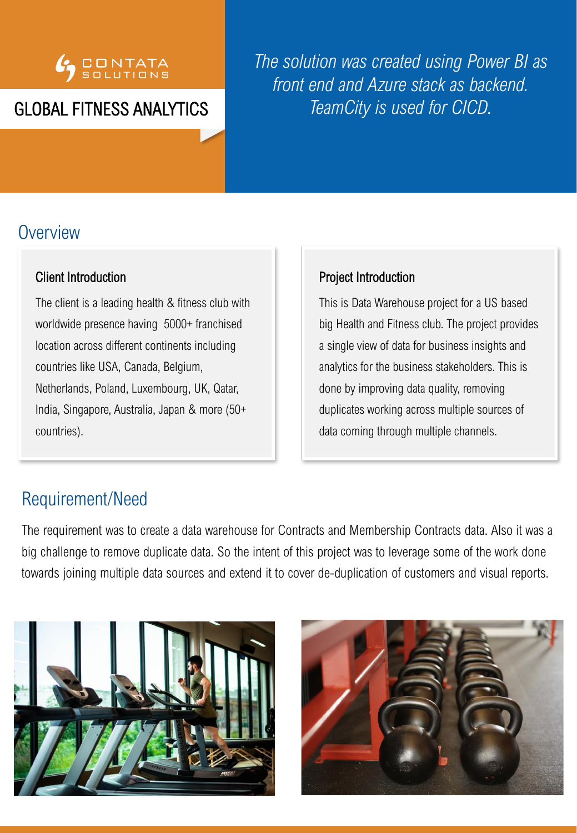

## GLOBAL FITNESS ANALYTICS

*The solution was created using Power BI as front end and Azure stack as backend. TeamCity is used for CICD.*

## **Overview**

#### Client Introduction

The client is a leading health & fitness club with worldwide presence having 5000+ franchised location across different continents including countries like USA, Canada, Belgium, Netherlands, Poland, Luxembourg, UK, Qatar, India, Singapore, Australia, Japan & more (50+ countries).

#### Project Introduction

This is Data Warehouse project for a US based big Health and Fitness club. The project provides a single view of data for business insights and analytics for the business stakeholders. This is done by improving data quality, removing duplicates working across multiple sources of data coming through multiple channels.

## Requirement/Need

The requirement was to create a data warehouse for Contracts and Membership Contracts data. Also it was a big challenge to remove duplicate data. So the intent of this project was to leverage some of the work done towards joining multiple data sources and extend it to cover de-duplication of customers and visual reports.